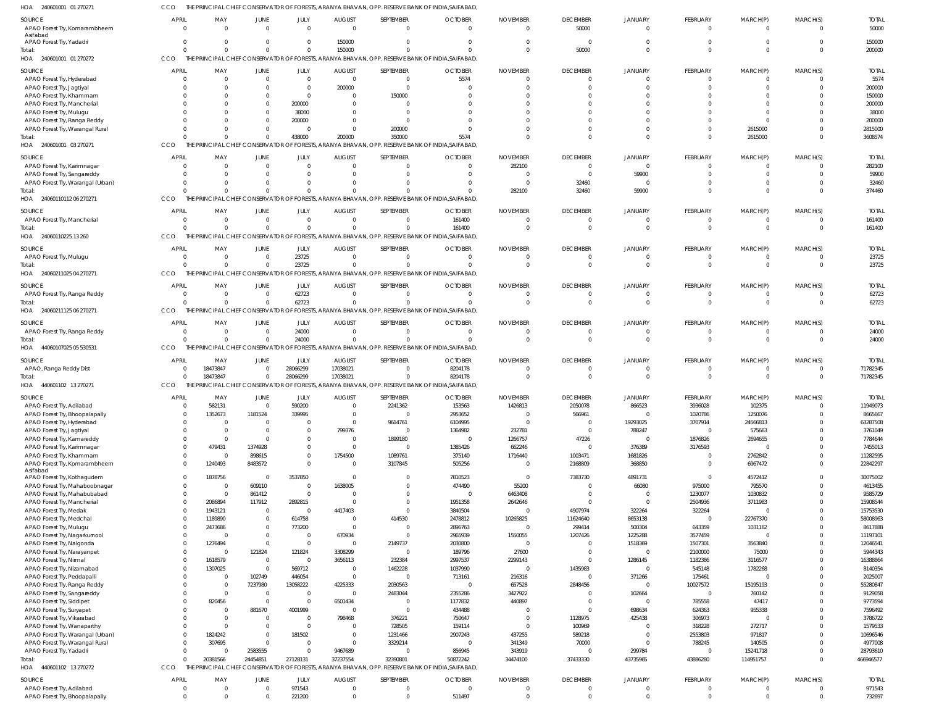CCO THE PRINCIPAL CHIEF CONSERVATOR OF FORESTS, ARANYA BHAVAN, OPP. RESERVE BANK OF INDIA,SAIFABAD,

| HOA<br>240601001 01 270271                                  |                                |                                 |                             |                                  |                                        |                            | PRINCIPAL CHIEF CONSERVATOR OF FORESTS, ARANYA BHAVAN, OPP. RESERVE BANK OF INDIA,SAIFABAD,              |                             |                                 |                                  |                             |                            |                            |                        |
|-------------------------------------------------------------|--------------------------------|---------------------------------|-----------------------------|----------------------------------|----------------------------------------|----------------------------|----------------------------------------------------------------------------------------------------------|-----------------------------|---------------------------------|----------------------------------|-----------------------------|----------------------------|----------------------------|------------------------|
| SOURCE<br>APAO Forest Try, Komarambheem                     | <b>APRIL</b><br>$\overline{0}$ | MAY<br>$\Omega$                 | JUNE<br>$\Omega$            | JULY<br>$\Omega$                 | <b>AUGUST</b><br>$\Omega$              | SEPTEMBER<br>$\Omega$      | <b>OCTOBER</b><br>$\Omega$                                                                               | <b>NOVEMBER</b><br>$\Omega$ | <b>DECEMBER</b><br>50000        | JANUARY<br>$\Omega$              | <b>FEBRUARY</b><br>$\Omega$ | MARCH(P)<br>$\mathbf{0}$   | MARCH(S)<br>$\Omega$       | <b>TOTAL</b><br>50000  |
| Asifabad<br>APAO Forest Try, Yadadri                        | $\mathbf 0$<br>$\Omega$        | $\mathbf{0}$<br>$\Omega$        | $\Omega$<br>$\Omega$        | $\overline{0}$<br>$\overline{0}$ | 150000<br>150000                       | $\Omega$<br>$\Omega$       | $\Omega$                                                                                                 | $\Omega$                    | $\Omega$<br>50000               | $\Omega$<br>$\Omega$             | $\Omega$                    | $\Omega$<br>$\Omega$       | $\Omega$<br>$\Omega$       | 150000<br>200000       |
| Total:<br>240601001 01 270272<br>HOA                        | CCO                            |                                 |                             |                                  |                                        |                            | THE PRINCIPAL CHIEF CONSERVATOR OF FORESTS, ARANYA BHAVAN, OPP. RESERVE BANK OF INDIA, SAIFABAD,         |                             |                                 |                                  |                             |                            |                            |                        |
| SOURCE<br>APAO Forest Try, Hyderabad                        | APRIL<br>$\overline{0}$        | MAY<br>$\mathbf 0$              | <b>JUNE</b><br>$\mathbf{0}$ | JULY<br>$\overline{0}$           | <b>AUGUST</b><br>$\mathbf{0}$          | SEPTEMBER<br>$\Omega$      | <b>OCTOBER</b><br>5574                                                                                   | <b>NOVEMBER</b>             | <b>DECEMBER</b><br>0            | <b>JANUARY</b><br>$\Omega$       | <b>FEBRUARY</b>             | MARCH(P)<br>$\Omega$       | MARCH(S)<br>C              | <b>TOTAL</b><br>5574   |
| APAO Forest Try, Jagtiyal                                   | $\mathbf 0$                    | $\Omega$                        | $\Omega$                    | $\Omega$                         | 200000                                 | $\Omega$                   |                                                                                                          |                             | $\Omega$                        | $\Omega$                         |                             | $\Omega$                   | $\Omega$                   | 200000                 |
| APAO Forest Try, Khammam                                    | $\Omega$                       | $\Omega$                        | $\Omega$                    | $\Omega$                         | $\mathbf 0$                            | 150000                     |                                                                                                          |                             |                                 |                                  |                             |                            | $\Omega$                   | 150000                 |
| APAO Forest Try, Mancherial                                 | $\Omega$                       | $\Omega$                        | $\Omega$                    | 200000                           | $\mathbf 0$                            |                            |                                                                                                          |                             |                                 |                                  |                             |                            | $\Omega$                   | 200000                 |
| APAO Forest Try, Mulugu                                     | $\Omega$                       | $\Omega$                        | $\Omega$                    | 38000                            | $\Omega$                               | $\Omega$                   |                                                                                                          |                             |                                 |                                  |                             |                            | $\Omega$                   | 38000                  |
| APAO Forest Try, Ranga Reddy                                | $\Omega$                       | $\Omega$                        | $\Omega$                    | 200000                           | $\Omega$                               | $\Omega$                   |                                                                                                          |                             |                                 |                                  |                             | <sup>0</sup>               | $\Omega$                   | 200000                 |
| APAO Forest Try, Warangal Rural                             | $\Omega$                       | $\Omega$                        | $\Omega$                    | $\Omega$                         | $\mathbf 0$                            | 200000                     |                                                                                                          |                             |                                 | $\Omega$                         |                             | 2615000                    | $\Omega$                   | 2815000                |
| Total:<br>HOA 240601001 03 270271                           | $\Omega$<br>CCO                | $\Omega$                        | $\Omega$                    | 438000                           | 200000                                 | 350000                     | 5574<br>THE PRINCIPAL CHIEF CONSERVATOR OF FORESTS, ARANYA BHAVAN, OPP. RESERVE BANK OF INDIA, SAIFABAD, |                             | $\Omega$                        | $\Omega$                         |                             | 2615000                    | $\Omega$                   | 3608574                |
| SOURCE                                                      | <b>APRIL</b><br>$\overline{0}$ | MAY<br>$\Omega$                 | <b>JUNE</b><br>$\Omega$     | JULY<br>$\Omega$                 | <b>AUGUST</b><br>$\mathbf 0$           | SEPTEMBER<br>$\Omega$      | <b>OCTOBER</b><br>$\Omega$                                                                               | <b>NOVEMBER</b>             | <b>DECEMBER</b><br>$\mathbf{0}$ | JANUARY<br>$\Omega$              | <b>FEBRUARY</b>             | MARCH(P)<br>$\Omega$       | MARCH(S)<br>$\Omega$       | <b>TOTAL</b><br>282100 |
| APAO Forest Try, Karimnagar<br>APAO Forest Try, Sangareddy  | $\Omega$                       | $\Omega$                        | $\Omega$                    | $\Omega$                         | $\Omega$                               | $\Omega$                   |                                                                                                          | 282100                      | $\Omega$                        | 59900                            |                             | $\Omega$                   | $\Omega$                   | 59900                  |
| APAO Forest Try, Warangal (Urban)                           | $\Omega$                       | $\Omega$                        | $\Omega$                    | $\Omega$                         | $\Omega$                               | $\Omega$                   |                                                                                                          | $\Omega$                    | 32460                           | $\Omega$                         |                             | $\Omega$                   | $\Omega$                   | 32460                  |
| Total:                                                      | $\Omega$                       | $\Omega$                        | $\cap$                      | $\Omega$                         | $\Omega$                               |                            |                                                                                                          | 282100                      | 32460                           | 59900                            |                             | $\Omega$                   | $\Omega$                   | 374460                 |
| 24060110112 06 270271<br>HOA                                | CCO                            |                                 |                             |                                  |                                        |                            | THE PRINCIPAL CHIEF CONSERVATOR OF FORESTS, ARANYA BHAVAN, OPP. RESERVE BANK OF INDIA, SAIFABAD,         |                             |                                 |                                  |                             |                            |                            |                        |
|                                                             |                                |                                 |                             |                                  |                                        |                            |                                                                                                          |                             | <b>DECEMBER</b>                 |                                  | <b>FEBRUARY</b>             |                            |                            |                        |
| SOURCE<br>APAO Forest Try, Mancherial                       | <b>APRIL</b><br>$\overline{0}$ | MAY<br>$\Omega$                 | JUNE<br>$\Omega$            | <b>JULY</b><br>$\Omega$          | <b>AUGUST</b><br>$\overline{0}$        | SEPTEMBER<br>$\Omega$      | <b>OCTOBER</b><br>161400                                                                                 | <b>NOVEMBER</b>             | $\Omega$                        | JANUARY<br>$\Omega$              | 0                           | MARCH(P)<br>$\overline{0}$ | MARCH(S)<br>$\overline{0}$ | <b>TOTAL</b><br>161400 |
| Total:                                                      | $\Omega$                       | $\Omega$                        | $\Omega$                    | $\Omega$                         | $\mathbf 0$                            | $\Omega$                   | 161400                                                                                                   | $\Omega$                    | $\Omega$                        | $\Omega$                         | $\Omega$                    | $\Omega$                   | $\Omega$                   | 161400                 |
| 24060110225 13 260<br>HOA                                   | CCO                            | THE 1<br>PRINCIPAL CHIEF        |                             |                                  | CONSERVATOR OF FORESTS, ARANYA BHAVAN, |                            | OPP. RESERVE BANK OF INDIA.SAIFABAD.                                                                     |                             |                                 |                                  |                             |                            |                            |                        |
|                                                             |                                |                                 |                             |                                  |                                        |                            |                                                                                                          |                             |                                 |                                  |                             |                            |                            |                        |
| SOURCE                                                      | <b>APRIL</b>                   | MAY                             | <b>JUNE</b>                 | JULY                             | <b>AUGUST</b>                          | SEPTEMBER                  | <b>OCTOBER</b>                                                                                           | <b>NOVEMBER</b>             | <b>DECEMBER</b>                 | <b>JANUARY</b>                   | <b>FEBRUARY</b>             | MARCH(P)                   | MARCH(S)                   | <b>TOTAL</b>           |
| APAO Forest Try, Muluqu                                     | $\mathbf 0$<br>$\Omega$        | $\Omega$<br>$\Omega$            | $\Omega$<br>$\Omega$        | 23725<br>23725                   | $\mathbf 0$<br>$\mathbf 0$             | $\Omega$<br>$\Omega$       | $\Omega$                                                                                                 | $\Omega$                    | $\Omega$                        | $\Omega$<br>$\Omega$             | $\Omega$                    | $\Omega$<br>$\Omega$       | $\Omega$<br>$\Omega$       | 23725<br>23725         |
| Total:<br>24060211025 04 270271<br>HOA                      | CCO                            | THE PRINCIPAL CHIEF CONSERVATOR |                             |                                  |                                        |                            | OF FORESTS, ARANYA BHAVAN, OPP. RESERVE BANK OF INDIA, SAIFABAD,                                         |                             |                                 |                                  |                             |                            |                            |                        |
|                                                             |                                |                                 |                             |                                  |                                        |                            |                                                                                                          |                             |                                 |                                  |                             |                            |                            |                        |
| SOURCE                                                      | <b>APRIL</b>                   | MAY                             | <b>JUNE</b>                 | JULY                             | <b>AUGUST</b>                          | SEPTEMBER                  | <b>OCTOBER</b>                                                                                           | <b>NOVEMBER</b>             | <b>DECEMBER</b>                 | JANUARY                          | <b>FEBRUARY</b>             | MARCH(P)                   | MARCH(S)                   | <b>TOTAL</b>           |
| APAO Forest Try, Ranga Reddy                                | $\mathbf{0}$                   | $\Omega$                        | $\Omega$                    | 62723                            | $\mathbf 0$                            | $\Omega$                   | $\Omega$                                                                                                 |                             | 0                               | $\Omega$                         | 0                           | $\overline{0}$             | $\Omega$                   | 62723                  |
| Total:                                                      | $\Omega$<br>CCO                | $\Omega$                        | $\Omega$                    | 62723                            | $\mathbf 0$                            | $\Omega$                   | $\Omega$<br>OF FORESTS, ARANYA BHAVAN, OPP. RESERVE BANK OF INDIA, SAIFABAD,                             |                             | $\Omega$                        | $\Omega$                         | $\Omega$                    | $\Omega$                   | $\mathbf 0$                | 62723                  |
| HOA 24060211125 06 270271                                   |                                | THE PRINCIPAL CHIEF CONSERVATOR |                             |                                  |                                        |                            |                                                                                                          |                             |                                 |                                  |                             |                            |                            |                        |
| SOURCE                                                      | <b>APRIL</b>                   | MAY                             | <b>JUNE</b>                 | JULY                             | <b>AUGUST</b>                          | SEPTEMBER                  | <b>OCTOBER</b>                                                                                           | <b>NOVEMBER</b>             | <b>DECEMBER</b>                 | JANUARY                          | <b>FEBRUARY</b>             | MARCH(P)                   | MARCH(S)                   | <b>TOTAL</b>           |
| APAO Forest Try, Ranga Reddy                                | $\mathbf{0}$                   | $\Omega$                        | $\Omega$                    | 24000                            | $\Omega$                               | $\Omega$                   | $\Omega$                                                                                                 |                             | $\Omega$                        | $\Omega$                         | 0                           | $\Omega$                   | $\Omega$                   | 24000                  |
| Total:                                                      | $\Omega$                       | $\Omega$                        | $\Omega$                    | 24000                            | $\mathbf 0$                            | $\Omega$                   | $\Omega$                                                                                                 | $\Omega$                    | $\Omega$                        | $\Omega$                         | $\Omega$                    | $\Omega$                   | $\Omega$                   | 24000                  |
| 44060107025 05 530531<br>HOA                                | CCO                            |                                 |                             |                                  |                                        |                            | PRINCIPAL CHIEF CONSERVATOR OF FORESTS, ARANYA BHAVAN, OPP. RESERVE BANK OF INDIA, SAIFABAD,             |                             |                                 |                                  |                             |                            |                            |                        |
|                                                             |                                |                                 |                             |                                  |                                        |                            |                                                                                                          |                             |                                 |                                  |                             |                            |                            |                        |
| SOURCE                                                      | <b>APRIL</b>                   | MAY                             | <b>JUNE</b>                 | JULY                             | <b>AUGUST</b>                          | SEPTEMBER                  | <b>OCTOBER</b>                                                                                           | <b>NOVEMBER</b>             | <b>DECEMBER</b>                 | JANUARY                          | FEBRUARY                    | MARCH(P)                   | MARCH(S)                   | <b>TOTAL</b>           |
| APAO, Ranga Reddy Dist                                      | $\mathbf{0}$                   | 18473847                        | $\Omega$                    | 28066299                         | 17038021                               | $\Omega$                   | 8204178                                                                                                  |                             | $\Omega$                        | $\Omega$                         | 0                           | $\overline{0}$             | $\overline{0}$             | 71782345               |
| Total:                                                      | $\Omega$                       | 18473847                        | $\Omega$                    | 28066299                         | 17038021                               | $\Omega$                   | 8204178                                                                                                  | $\Omega$                    | $\Omega$                        | $\Omega$                         | $\mathbf 0$                 | $\Omega$                   | $\mathbf 0$                | 71782345               |
| 440601102 13 270271<br>HOA                                  | CCO                            |                                 |                             |                                  |                                        |                            | THE PRINCIPAL CHIEF CONSERVATOR OF FORESTS, ARANYA BHAVAN, OPP. RESERVE BANK OF INDIA, SAIFABAD,         |                             |                                 |                                  |                             |                            |                            |                        |
| SOURCE                                                      | <b>APRIL</b>                   | MAY                             | <b>JUNE</b>                 | JULY                             | <b>AUGUST</b>                          | SEPTEMBER                  | <b>OCTOBER</b>                                                                                           | <b>NOVEMBER</b>             | <b>DECEMBER</b>                 | JANUARY                          | <b>FEBRUARY</b>             | MARCH(P)                   | MARCH(S)                   | <b>TOTAL</b>           |
| APAO Forest Try, Adilabad                                   | $\Omega$                       | 582131                          | $\Omega$                    | 590200                           | $\mathbf 0$                            | 2241362                    | 153563                                                                                                   | 1426813                     | 2050078                         | 866523                           | 3936028                     | 102375                     | $\Omega$                   | 11949073               |
| APAO Forest Try, Bhoopalapally                              |                                | $\overline{0}$<br>1352673       | 1181524                     | 339995                           | $\Omega$                               | $\Omega$                   | 2953652                                                                                                  |                             | 566961                          | $\Omega$                         | 1020786                     | 1250076                    | $\Omega$                   | 8665667                |
| APAO Forest Try, Hyderabad                                  | $\Omega$                       | $\Omega$                        | $\Omega$                    | $\Omega$                         | $\mathbf 0$                            | 9614761                    | 6104995                                                                                                  |                             | $\mathbf 0$                     | 19293025                         | 3707914                     | 24566813                   | $\mathbf 0$                | 63287508               |
| APAO Forest Try, Jagtiyal                                   | $\Omega$                       | $\Omega$                        | $\Omega$                    | $\Omega$                         | 799376                                 | $\overline{0}$             | 1364982                                                                                                  | 232781                      | $\mathbf 0$                     | 788247                           | $\mathbf{0}$                | 575663                     | $\Omega$                   | 3761049                |
| APAO Forest Try, Kamareddy                                  | $\Omega$                       | $\Omega$                        | $\Omega$                    | $\Omega$                         | $\mathbf{0}$                           | 1899180                    | $\Omega$                                                                                                 | 1266757                     | 47226                           | $\Omega$                         | 1876826                     | 2694655                    | $\Omega$                   | 7784644                |
| APAO Forest Try, Karimnagar                                 | $\mathbf 0$                    | 479431                          | 1374928                     | $\Omega$                         | $\mathbf 0$                            | $\Omega$                   | 1385426                                                                                                  | 662246                      | $\mathbf 0$                     | 376389                           | 3176593                     | $\overline{0}$             | $\Omega$                   | 7455013                |
| APAO Forest Try, Khammam                                    |                                | $\mathbf 0$<br>$\Omega$         | 898615                      | $\overline{0}$                   | 1754500                                | 1089761                    | 375140                                                                                                   | 1716440                     | 1003471                         | 1681826                          | $\mathbf 0$                 | 2762842                    | $\Omega$                   | 11282595               |
| APAO Forest Try, Komarambheem                               |                                | $\mathbf 0$<br>1240493          | 8483572                     | $\overline{0}$                   | $\mathbf 0$                            | 3107845                    | 505256                                                                                                   | $\Omega$                    | 2168809                         | 368850                           | $\Omega$                    | 6967472                    | $\mathbf 0$                | 22842297               |
| Asifabad<br>APAO Forest Try, Kothagudem                     |                                | 1878756<br>$\overline{0}$       | $\Omega$                    | 3537850                          | $\mathbf 0$                            | $\Omega$                   | 7810523                                                                                                  | $\Omega$                    | 7383730                         | 4891731                          | $\Omega$                    | 4572412                    | $\Omega$                   | 30075002               |
| APAO Forest Try, Mahaboobnagar                              |                                | $\mathbf 0$<br>$\Omega$         | 609110                      | $\overline{0}$                   | 1638005                                | $\Omega$                   | 474490                                                                                                   | 55200                       | $\mathbf{0}$                    | 66080                            | 975000                      | 795570                     | $\Omega$                   | 4613455                |
| APAO Forest Try, Mahabubabad                                |                                | $\mathbf 0$<br>$\Omega$         | 861412                      | $\overline{0}$                   | $\overline{0}$                         | $\Omega$                   | $\Omega$                                                                                                 | 6463408                     | $\overline{0}$                  | $\Omega$                         | 1230077                     | 1030832                    | $\Omega$                   | 9585729                |
| APAO Forest Try, Mancherial                                 |                                | $\mathbf 0$<br>2086894          | 117912                      | 2892815                          | $\mathbf{0}$                           | $\Omega$                   | 1951358                                                                                                  | 2642646                     | $\Omega$                        | $\Omega$                         | 2504936                     | 3711983                    | $\Omega$                   | 15908544               |
| APAO Forest Try, Medak                                      | $\mathbf 0$                    | 1943121                         | $\overline{0}$              | $\overline{0}$                   | 4417403                                | $\Omega$                   | 3840504                                                                                                  |                             | 4907974                         | 322264                           | 322264                      | $\Omega$                   | $\Omega$                   | 15753530               |
| APAO Forest Try, Medchal                                    | $\mathbf 0$                    | 1189890                         | $\overline{0}$              | 614758                           | $\overline{0}$                         | 414530                     | 2478812                                                                                                  | 10265825                    | 11624640                        | 8653138                          | $\mathbf 0$                 | 22767370                   | $\Omega$                   | 58008963               |
| APAO Forest Try, Muluqu                                     | $\mathbf 0$                    | 2473686                         | $\mathbf{0}$                | 773200                           | $\mathbf{0}$                           | $\Omega$                   | 2896763                                                                                                  |                             | 299414                          | 500304                           | 643359                      | 1031162                    | $\Omega$                   | 8617888                |
| APAO Forest Try, Nagarkurnool                               | $\mathbf 0$                    | $\Omega$                        | $\overline{0}$              | $\overline{0}$                   | 670934                                 | $\Omega$                   | 2965939                                                                                                  | 1550055                     | 1207426                         | 1225288                          | 3577459                     | $\overline{0}$             | $\Omega$                   | 11197101               |
| APAO Forest Try, Nalgonda                                   | $\mathbf 0$                    | 1276494<br>$\Omega$             | $\Omega$                    | $\overline{0}$                   | $\mathbf 0$                            | 2149737<br>$\Omega$        | 2030800                                                                                                  |                             | $\overline{0}$                  | 1518369<br>$\Omega$              | 1507301                     | 3563840                    | $\Omega$<br>$\Omega$       | 12046541               |
| APAO Forest Try, Narayanpet<br>APAO Forest Try, Nirmal      | $\mathbf 0$                    | $\mathbf 0$<br>1618579          | 121824<br>$\overline{0}$    | 121824<br>$\Omega$               | 3308299<br>3656113                     | 232384                     | 189796<br>2997537                                                                                        | 27600<br>2299143            | $\mathbf{0}$<br>$\Omega$        | 1286145                          | 2100000<br>1182386          | 75000<br>3116577           | $\Omega$                   | 5944343<br>16388864    |
| APAO Forest Try, Nizamabad                                  | $\mathbf 0$                    | 1307025                         | $\mathbf{0}$                | 569712                           | $\mathbf 0$                            | 1462228                    | 1037990                                                                                                  | $\Omega$                    | 1435983                         | $\overline{0}$                   | 545148                      | 1782268                    | $\Omega$                   | 8140354                |
| APAO Forest Try, Peddapalli                                 |                                | $\mathbf 0$<br>$\circ$          | 102749                      | 446054                           | $\mathbf 0$                            | $\Omega$                   | 713161                                                                                                   | 216316                      | $\mathbf 0$                     | 371266                           | 175461                      | $\Omega$                   | $\Omega$                   | 2025007                |
| APAO Forest Try, Ranga Reddy                                | $\mathbf 0$                    | $\Omega$                        | 7237980                     | 13058222                         | 4225333                                | 2030563                    | $\overline{0}$                                                                                           | 657528                      | 2848456                         | $\Omega$                         | 10027572                    | 15195193                   | $\Omega$                   | 55280847               |
| APAO Forest Try, Sangareddy                                 | $\mathbf 0$                    | $\Omega$                        | $\overline{0}$              | $\overline{0}$                   | $\mathbf 0$                            | 2483044                    | 2355286                                                                                                  | 3427922                     | $\Omega$                        | 102664                           | $\overline{0}$              | 760142                     | $\Omega$                   | 9129058                |
| APAO Forest Try, Siddipet                                   | $\mathbf 0$                    | 820456                          | $\mathbf{0}$                | $\overline{0}$                   | 6501434                                | $\Omega$                   | 1177832                                                                                                  | 440897                      | $\Omega$                        | $\Omega$                         | 785558                      | 47417                      | $\Omega$                   | 9773594                |
| APAO Forest Try, Suryapet                                   |                                | $\Omega$<br>$\overline{0}$      | 881670                      | 4001999                          | $\mathbf 0$                            | $\Omega$                   | 434488                                                                                                   |                             | $\Omega$                        | 698634                           | 624363                      | 955338                     | $\Omega$                   | 7596492                |
| APAO Forest Try, Vikarabad                                  | $\mathbf 0$                    | $\Omega$                        | $\mathbf 0$                 | $\overline{0}$                   | 798468                                 | 376221                     | 750647                                                                                                   |                             | 1128975                         | 425438                           | 306973                      | $\Omega$                   | $\Omega$                   | 3786722                |
| APAO Forest Try, Wanaparthy                                 | $\Omega$                       | $\Omega$                        | $\Omega$                    | $\Omega$                         | $\mathbf 0$                            | 728505                     | 159114                                                                                                   |                             | 100969                          | $\Omega$                         | 318228                      | 272717                     | $\Omega$                   | 1579533                |
| APAO Forest Try, Warangal (Urban)                           | $\mathbf 0$                    | 1824242                         | $\Omega$                    | 181502                           | $\mathbf 0$                            | 1231466                    | 2907243                                                                                                  | 437255                      | 589218                          | $\Omega$<br>$\Omega$             | 2553803                     | 971817                     | $\Omega$                   | 10696546               |
| APAO Forest Try, Warangal Rural                             | $\mathbf 0$                    | 307695<br>$\Omega$              | $\Omega$                    | $\overline{0}$<br>$\Omega$       | $\mathbf 0$                            | 3329214<br>$\Omega$        | $\Omega$                                                                                                 | 341349                      | 70000<br>$\Omega$               |                                  | 788245<br>$\Omega$          | 140505                     | $\Omega$                   | 4977008                |
| APAO Forest Try, Yadadri<br>Total:                          | $\Omega$                       | $\overline{0}$<br>20381566      | 2583555<br>24454851         | 27128131                         | 9467689<br>37237554                    | 32390801                   | 856945<br>50872242                                                                                       | 343919<br>34474100          | 37433330                        | 299784<br>43735965               | 43886280                    | 15241718<br>114951757      | $\mathbf 0$<br>$\Omega$    | 28793610<br>466946577  |
| HOA<br>440601102 13 270272                                  | CCO                            |                                 |                             |                                  |                                        |                            | THE PRINCIPAL CHIEF CONSERVATOR OF FORESTS, ARANYA BHAVAN, OPP. RESERVE BANK OF INDIA, SAIFABAD,         |                             |                                 |                                  |                             |                            |                            |                        |
|                                                             |                                |                                 |                             |                                  |                                        |                            |                                                                                                          |                             |                                 |                                  |                             |                            |                            |                        |
| SOURCE                                                      | <b>APRIL</b>                   | MAY                             | <b>JUNE</b>                 | JULY                             | <b>AUGUST</b>                          | SEPTEMBER                  | <b>OCTOBER</b>                                                                                           | <b>NOVEMBER</b>             | <b>DECEMBER</b>                 | <b>JANUARY</b>                   | <b>FEBRUARY</b>             | MARCH(P)                   | MARCH(S)                   | <b>TOTAL</b>           |
| APAO Forest Try, Adilabad<br>APAO Forest Try, Bhoopalapally | $\mathbf 0$<br>$\mathbf 0$     | $\mathbf 0$<br>$\Omega$         | $\mathbf{0}$<br>$\Omega$    | 971543<br>221200                 | $\mathbf 0$<br>$\mathbf 0$             | $\overline{0}$<br>$\Omega$ | $\mathbf 0$<br>511497                                                                                    | $\Omega$                    | $\mathbf{0}$<br>$\mathbf{0}$    | $\overline{0}$<br>$\overline{0}$ | $\mathbf 0$<br>$\mathbf 0$  | $\mathbf 0$<br>$\mathbf 0$ | $\mathbf 0$<br>$\mathbf 0$ | 971543<br>732697       |